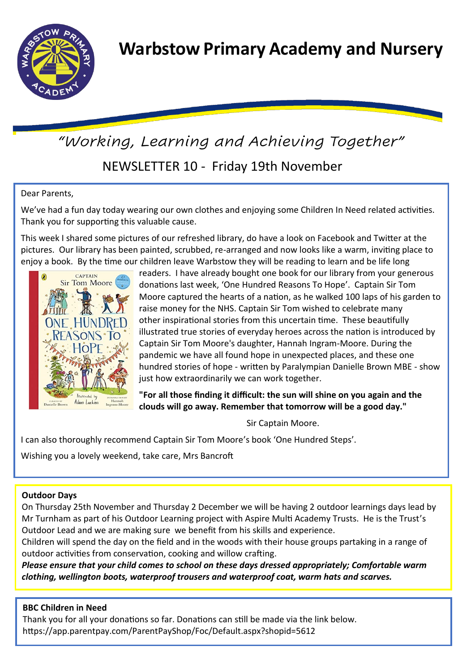

# NEWSLETTER 10 - Friday 19th November *"Working, Learning and Achieving Together"*

## Dear Parents,

We've had a fun day today wearing our own clothes and enjoying some Children In Need related activities. Thank you for supporting this valuable cause.

This week I shared some pictures of our refreshed library, do have a look on Facebook and Twitter at the pictures. Our library has been painted, scrubbed, re-arranged and now looks like a warm, inviting place to enjoy a book. By the time our children leave Warbstow they will be reading to learn and be life long



readers. I have already bought one book for our library from your generous donations last week, 'One Hundred Reasons To Hope'. Captain Sir Tom Moore captured the hearts of a nation, as he walked 100 laps of his garden to raise money for the NHS. Captain Sir Tom wished to celebrate many other inspirational stories from this uncertain time. These beautifully illustrated true stories of everyday heroes across the nation is introduced by Captain Sir Tom Moore's daughter, Hannah Ingram-Moore. During the pandemic we have all found hope in unexpected places, and these one hundred stories of hope - written by Paralympian Danielle Brown MBE - show just how extraordinarily we can work together.

**"For all those finding it difficult: the sun will shine on you again and the clouds will go away. Remember that tomorrow will be a good day."**

Sir Captain Moore.

I can also thoroughly recommend Captain Sir Tom Moore's book 'One Hundred Steps'.

Wishing you a lovely weekend, take care, Mrs Bancroft

## **Outdoor Days**

On Thursday 25th November and Thursday 2 December we will be having 2 outdoor learnings days lead by Mr Turnham as part of his Outdoor Learning project with Aspire Multi Academy Trusts. He is the Trust's Outdoor Lead and we are making sure we benefit from his skills and experience.

Children will spend the day on the field and in the woods with their house groups partaking in a range of outdoor activities from conservation, cooking and willow crafting.

*Please ensure that your child comes to school on these days dressed appropriately; Comfortable warm clothing, wellington boots, waterproof trousers and waterproof coat, warm hats and scarves.* 

## **BBC Children in Need**

Thank you for all your donations so far. Donations can still be made via the link below. https://app.parentpay.com/ParentPayShop/Foc/Default.aspx?shopid=5612